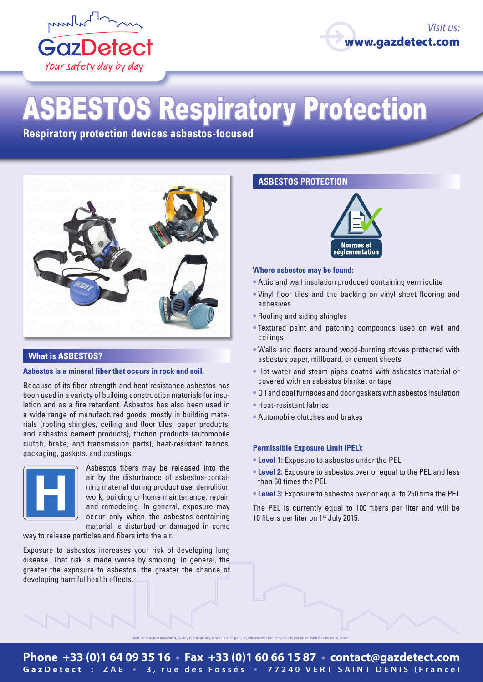



# ASBESTOS Respiratory Protection

**Respiratory protection devices asbestos-focused**



#### **What is ASBESTOS?**

#### **Asbestos is a mineral fiber that occurs in rock and soil.**

Because of its fiber strength and heat resistance asbestos has been used in a variety of building construction materials for insulation and as a fire retardant. Asbestos has also been used in a wide range of manufactured goods, mostly in building materials (roofing shingles, ceiling and floor tiles, paper products, and asbestos cement products), friction products (automobile clutch, brake, and transmission parts), heat-resistant fabrics, packaging, gaskets, and coatings.



Asbestos fibers may be released into the air by the disturbance of asbestos-containing material during product use, demolition work, building or home maintenance, repair, and remodeling. In general, exposure may occur only when the asbestos-containing material is disturbed or damaged in some

way to release particles and fibers into the air.

Exposure to asbestos increases your risk of developing lung disease. That risk is made worse by smoking. In general, the greater the exposure to asbestos, the greater the chance of developing harmful health effects.

### **ASBESTOS PROTECTION**



#### **Where asbestos may be found:**

- **•** Attic and wall insulation produced containing vermiculite
- **•** Vinyl floor tiles and the backing on vinyl sheet flooring and adhesives
- **•** Roofing and siding shingles
- **•** Textured paint and patching compounds used on wall and ceilings
- **•** Walls and floors around wood-burning stoves protected with asbestos paper, millboard, or cement sheets
- **•** Hot water and steam pipes coated with asbestos material or covered with an asbestos blanket or tape
- **•** Oil and coal furnaces and door gaskets with asbestos insulation
- **•** Heat-resistant fabrics
- **•** Automobile clutches and brakes

#### **Permissible Exposure Limit (PEL):**

- **• Level 1:** Exposure to asbestos under the PEL
- **• Level 2:** Exposure to asbestos over or equal to the PEL and less than 60 times the PEL
- **• Level 3:** Exposure to asbestos over or equal to 250 time the PEL

The PEL is currently equal to 100 fibers per liter and will be 10 fibers per liter on 1<sup>st</sup> July 2015.

.<br>Nontractual document. © Any reproduction, in whole or in part, by whatsoever process, is only permitted with Gazdetect approval.

## **Phone +33 (0)1 64 09 35 16 • Fax +33 (0)1 60 66 15 87 • contact@gazdetect.com GazDetect : ZAE • 3, rue des Fossés • 77240 VERT SAINT DENIS (France)**